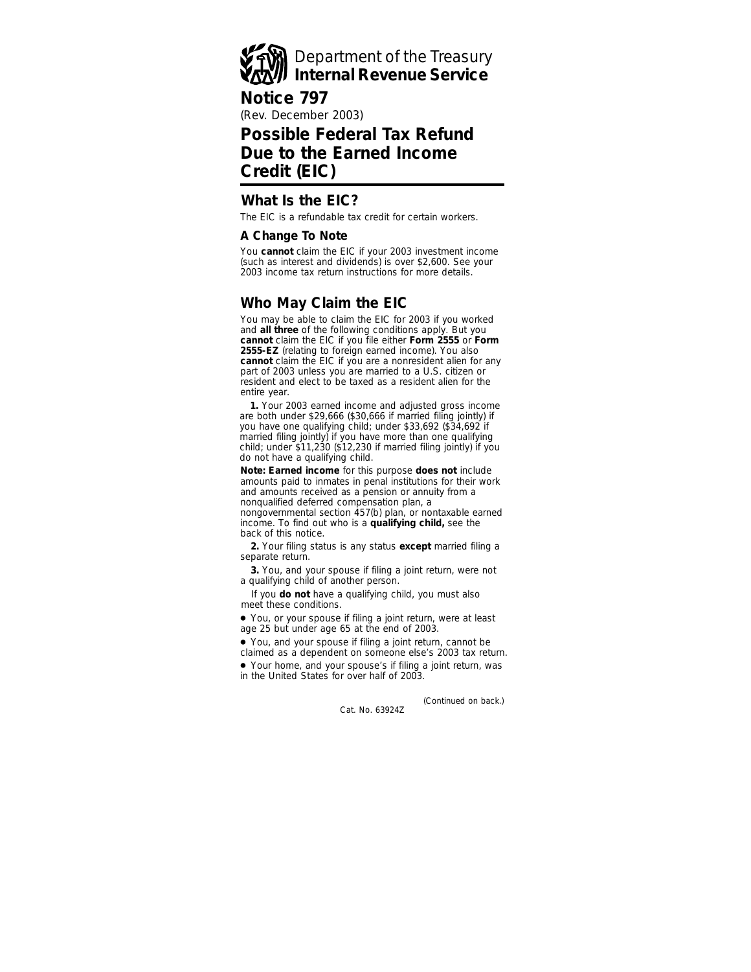

## **Notice 797**

(Rev. December 2003)

# **Possible Federal Tax Refund Due to the Earned Income Credit (EIC)**

## **What Is the EIC?**

The EIC is a refundable tax credit for certain workers.

#### **A Change To Note**

You **cannot** claim the EIC if your 2003 investment income (such as interest and dividends) is over \$2,600. See your 2003 income tax return instructions for more details.

## **Who May Claim the EIC**

You may be able to claim the EIC for 2003 if you worked and **all three** of the following conditions apply. But you **cannot** claim the EIC if you file either **Form 2555** or **Form 2555-EZ** (relating to foreign earned income). You also **cannot** claim the EIC if you are a nonresident alien for any part of 2003 unless you are married to a U.S. citizen or resident and elect to be taxed as a resident alien for the entire year.

**1.** Your 2003 earned income and adjusted gross income are both under \$29,666 (\$30,666 if married filing jointly) if you have one qualifying child; under \$33,692 (\$34,692 if married filing jointly) if you have more than one qualifying child; under \$11,230 (\$12,230 if married filing jointly) if you do not have a qualifying child.

**Note:** *Earned income for this purpose does not include amounts paid to inmates in penal institutions for their work and amounts received as a pension or annuity from a nonqualified deferred compensation plan, a nongovernmental section 457(b) plan, or nontaxable earned income. To find out who is a qualifying child, see the back of this notice.*

**2.** Your filing status is any status **except** married filing a separate return.

**3.** You, and your spouse if filing a joint return, were not a qualifying child of another person.

If you **do not** have a qualifying child, you must also meet these conditions.

● You, or your spouse if filing a joint return, were at least age 25 but under age 65 at the end of 2003.

● You, and your spouse if filing a joint return, cannot be claimed as a dependent on someone else's 2003 tax return.

● Your home, and your spouse's if filing a joint return, was in the United States for over half of 2003.

> Cat. No. 63924Z *(Continued on back.)*